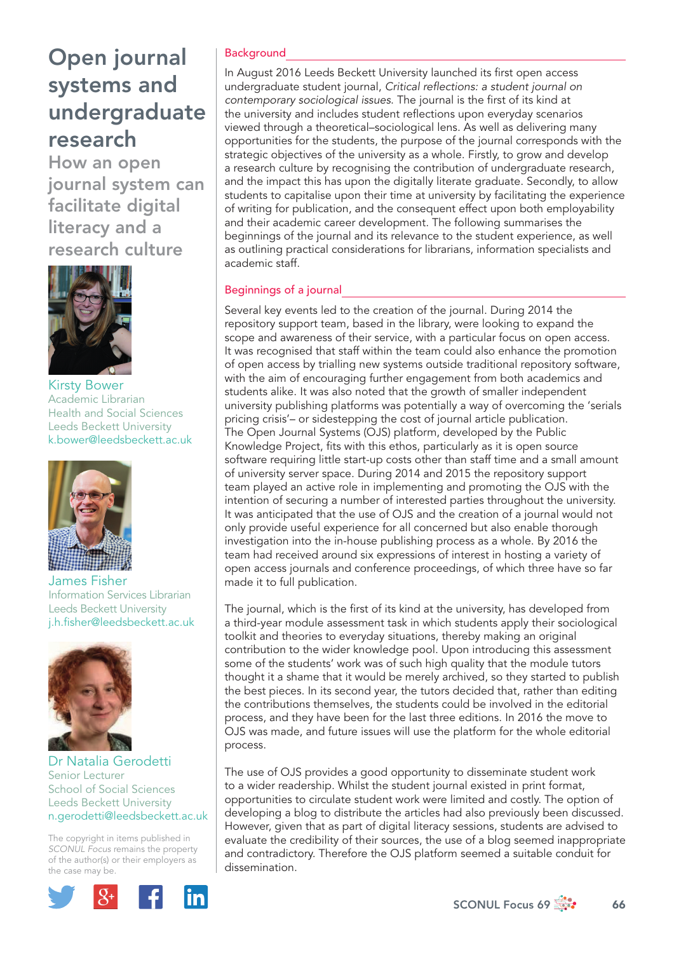How an open journal system can facilitate digital literacy and a research culture



Kirsty Bower Academic Librarian Health and Social Sciences Leeds Beckett University k.bower@leedsbeckett.ac.uk



James Fisher Information Services Librarian Leeds Beckett University j.h.fisher@leedsbeckett.ac.uk



### Dr Natalia Gerodetti Senior Lecturer School of Social Sciences Leeds Beckett University n.gerodetti@leedsbeckett.ac.uk

The copyright in items published in *SCONUL Focus* remains the property of the author(s) or their employers as the case may be.



## **Background**

In August 2016 Leeds Beckett University launched its first open access undergraduate student journal, *Critical refl ections: a student journal on contemporary sociological issues*. The journal is the first of its kind at the university and includes student reflections upon everyday scenarios viewed through a theoretical–sociological lens. As well as delivering many opportunities for the students, the purpose of the journal corresponds with the strategic objectives of the university as a whole. Firstly, to grow and develop a research culture by recognising the contribution of undergraduate research, and the impact this has upon the digitally literate graduate. Secondly, to allow students to capitalise upon their time at university by facilitating the experience of writing for publication, and the consequent effect upon both employability and their academic career development. The following summarises the beginnings of the journal and its relevance to the student experience, as well as outlining practical considerations for librarians, information specialists and academic staff.

### Beginnings of a journal

Several key events led to the creation of the journal. During 2014 the repository support team, based in the library, were looking to expand the scope and awareness of their service, with a particular focus on open access. It was recognised that staff within the team could also enhance the promotion of open access by trialling new systems outside traditional repository software, with the aim of encouraging further engagement from both academics and students alike. It was also noted that the growth of smaller independent university publishing platforms was potentially a way of overcoming the 'serials pricing crisis'– or sidestepping the cost of journal article publication. The Open Journal Systems (OJS) platform, developed by the Public Knowledge Project, fits with this ethos, particularly as it is open source software requiring little start-up costs other than staff time and a small amount of university server space. During 2014 and 2015 the repository support team played an active role in implementing and promoting the OJS with the intention of securing a number of interested parties throughout the university. It was anticipated that the use of OJS and the creation of a journal would not only provide useful experience for all concerned but also enable thorough investigation into the in-house publishing process as a whole. By 2016 the team had received around six expressions of interest in hosting a variety of open access journals and conference proceedings, of which three have so far made it to full publication.

The journal, which is the first of its kind at the university, has developed from a third-year module assessment task in which students apply their sociological toolkit and theories to everyday situations, thereby making an original contribution to the wider knowledge pool. Upon introducing this assessment some of the students' work was of such high quality that the module tutors thought it a shame that it would be merely archived, so they started to publish the best pieces. In its second year, the tutors decided that, rather than editing the contributions themselves, the students could be involved in the editorial process, and they have been for the last three editions. In 2016 the move to OJS was made, and future issues will use the platform for the whole editorial process.

The use of OJS provides a good opportunity to disseminate student work to a wider readership. Whilst the student journal existed in print format, opportunities to circulate student work were limited and costly. The option of developing a blog to distribute the articles had also previously been discussed. However, given that as part of digital literacy sessions, students are advised to evaluate the credibility of their sources, the use of a blog seemed inappropriate and contradictory. Therefore the OJS platform seemed a suitable conduit for dissemination.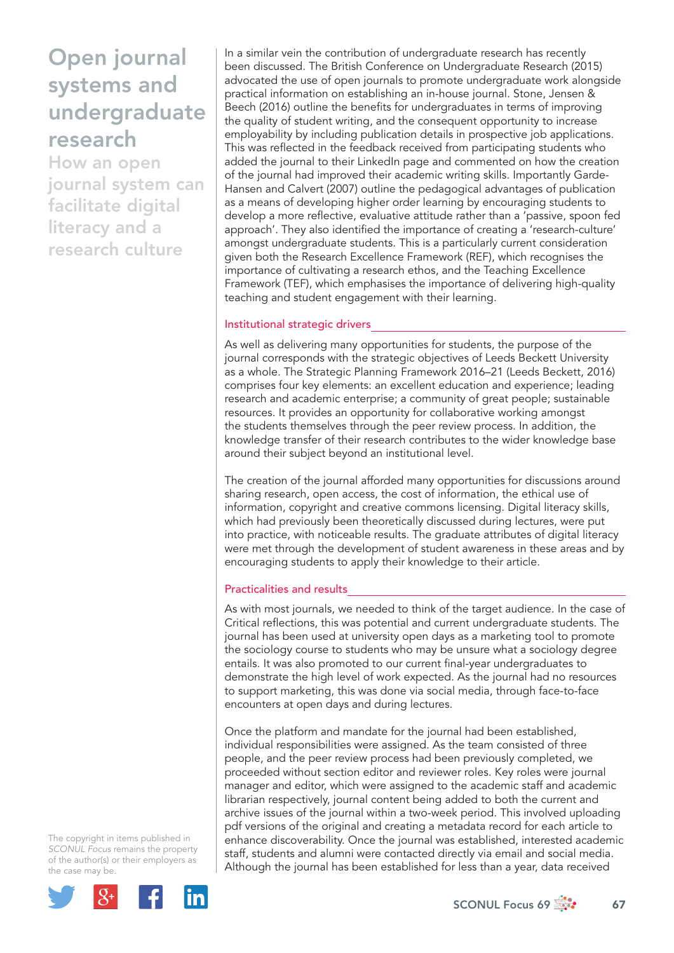How an open journal system can facilitate digital literacy and a research culture

In a similar vein the contribution of undergraduate research has recently been discussed. The British Conference on Undergraduate Research (2015) advocated the use of open journals to promote undergraduate work alongside practical information on establishing an in-house journal. Stone, Jensen & Beech (2016) outline the benefits for undergraduates in terms of improving the quality of student writing, and the consequent opportunity to increase employability by including publication details in prospective job applications. This was reflected in the feedback received from participating students who added the journal to their LinkedIn page and commented on how the creation of the journal had improved their academic writing skills. Importantly Garde-Hansen and Calvert (2007) outline the pedagogical advantages of publication as a means of developing higher order learning by encouraging students to develop a more reflective, evaluative attitude rather than a 'passive, spoon fed approach'. They also identified the importance of creating a 'research-culture' amongst undergraduate students. This is a particularly current consideration given both the Research Excellence Framework (REF), which recognises the importance of cultivating a research ethos, and the Teaching Excellence Framework (TEF), which emphasises the importance of delivering high-quality teaching and student engagement with their learning.

## Institutional strategic drivers

As well as delivering many opportunities for students, the purpose of the journal corresponds with the strategic objectives of Leeds Beckett University as a whole. The Strategic Planning Framework 2016–21 (Leeds Beckett, 2016) comprises four key elements: an excellent education and experience; leading research and academic enterprise; a community of great people; sustainable resources. It provides an opportunity for collaborative working amongst the students themselves through the peer review process. In addition, the knowledge transfer of their research contributes to the wider knowledge base around their subject beyond an institutional level.

The creation of the journal afforded many opportunities for discussions around sharing research, open access, the cost of information, the ethical use of information, copyright and creative commons licensing. Digital literacy skills, which had previously been theoretically discussed during lectures, were put into practice, with noticeable results. The graduate attributes of digital literacy were met through the development of student awareness in these areas and by encouraging students to apply their knowledge to their article.

### Practicalities and results

As with most journals, we needed to think of the target audience. In the case of Critical reflections, this was potential and current undergraduate students. The journal has been used at university open days as a marketing tool to promote the sociology course to students who may be unsure what a sociology degree entails. It was also promoted to our current final-vear undergraduates to demonstrate the high level of work expected. As the journal had no resources to support marketing, this was done via social media, through face-to-face encounters at open days and during lectures.

Once the platform and mandate for the journal had been established, individual responsibilities were assigned. As the team consisted of three people, and the peer review process had been previously completed, we proceeded without section editor and reviewer roles. Key roles were journal manager and editor, which were assigned to the academic staff and academic librarian respectively, journal content being added to both the current and archive issues of the journal within a two-week period. This involved uploading pdf versions of the original and creating a metadata record for each article to enhance discoverability. Once the journal was established, interested academic staff, students and alumni were contacted directly via email and social media. Although the journal has been established for less than a year, data received

The copyright in items published in *SCONUL Focus* remains the property of the author(s) or their employers as the case may be.

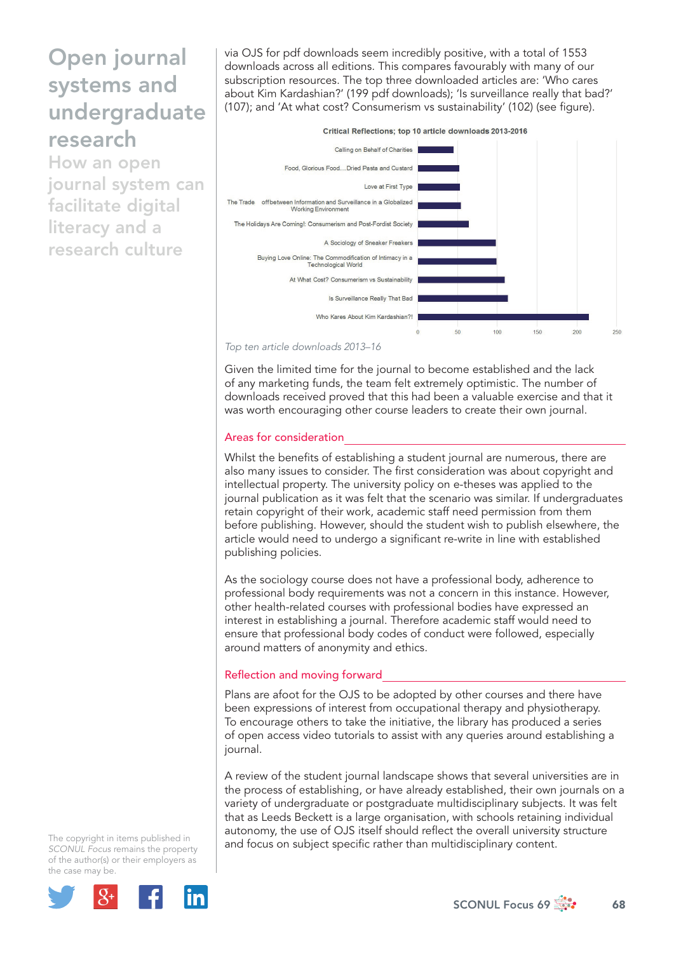How an open journal system can facilitate digital literacy and a research culture

via OJS for pdf downloads seem incredibly positive, with a total of 1553 downloads across all editions. This compares favourably with many of our subscription resources. The top three downloaded articles are: 'Who cares about Kim Kardashian?' (199 pdf downloads); 'Is surveillance really that bad?' (107); and 'At what cost? Consumerism vs sustainability' (102) (see figure).



*Top ten article downloads 2013–16*

Given the limited time for the journal to become established and the lack of any marketing funds, the team felt extremely optimistic. The number of downloads received proved that this had been a valuable exercise and that it was worth encouraging other course leaders to create their own journal.

### Areas for consideration

Whilst the benefits of establishing a student journal are numerous, there are also many issues to consider. The first consideration was about copyright and intellectual property. The university policy on e-theses was applied to the journal publication as it was felt that the scenario was similar. If undergraduates retain copyright of their work, academic staff need permission from them before publishing. However, should the student wish to publish elsewhere, the article would need to undergo a significant re-write in line with established publishing policies.

As the sociology course does not have a professional body, adherence to professional body requirements was not a concern in this instance. However, other health-related courses with professional bodies have expressed an interest in establishing a journal. Therefore academic staff would need to ensure that professional body codes of conduct were followed, especially around matters of anonymity and ethics.

#### Reflection and moving forward

Plans are afoot for the OJS to be adopted by other courses and there have been expressions of interest from occupational therapy and physiotherapy. To encourage others to take the initiative, the library has produced a series of open access video tutorials to assist with any queries around establishing a journal.

A review of the student journal landscape shows that several universities are in the process of establishing, or have already established, their own journals on a variety of undergraduate or postgraduate multidisciplinary subjects. It was felt that as Leeds Beckett is a large organisation, with schools retaining individual autonomy, the use of OJS itself should reflect the overall university structure and focus on subject specific rather than multidisciplinary content.

The copyright in items published in *SCONUL Focus* remains the property of the author(s) or their employers as the case may be.



 $SCONUL$  Focus 69  $\frac{1}{200}$  68